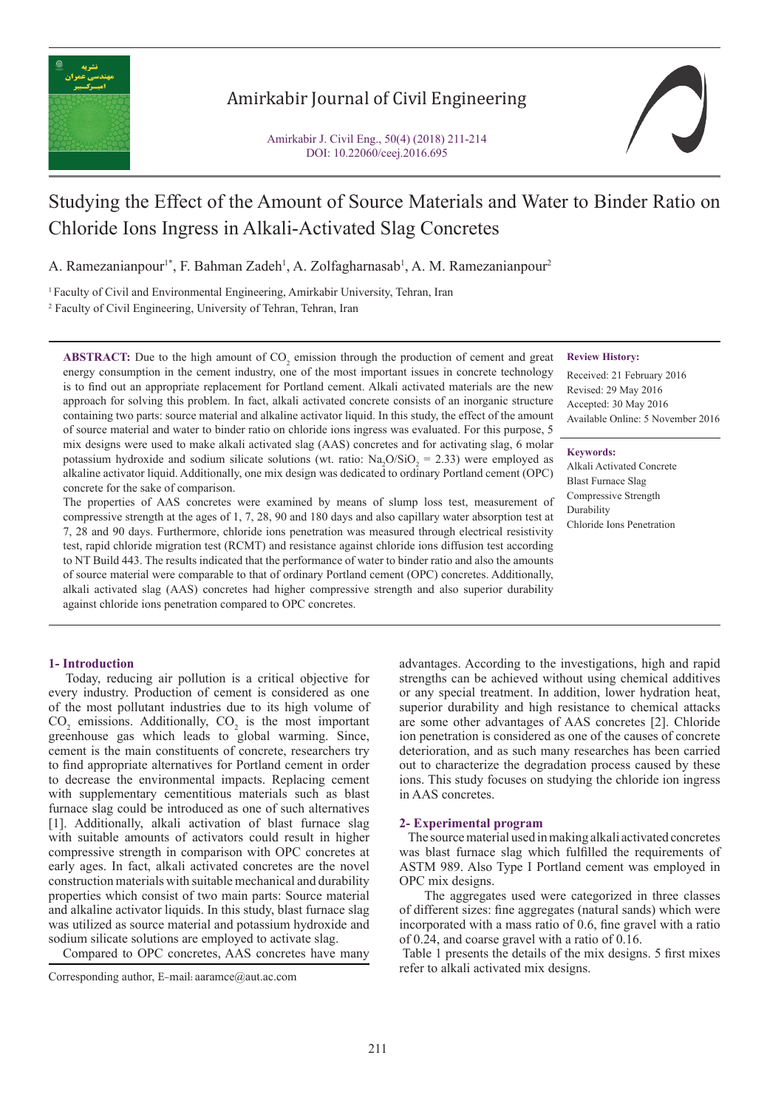

Amirkabir Journal of Civil Engineering

Amirkabir J. Civil Eng., 50(4) (2018) 211-214 DOI: 10.22060/ceej.2016.695



# Studying the Effect of the Amount of Source Materials and Water to Binder Ratio on Chloride Ions Ingress in Alkali-Activated Slag Concretes

A. Ramezanianpour<sup>1\*</sup>, F. Bahman Zadeh<sup>1</sup>, A. Zolfagharnasab<sup>1</sup>, A. M. Ramezanianpour<sup>2</sup>

1 Faculty of Civil and Environmental Engineering, Amirkabir University, Tehran, Iran 2 Faculty of Civil Engineering, University of Tehran, Tehran, Iran

**ABSTRACT:** Due to the high amount of  $CO<sub>2</sub>$  emission through the production of cement and great energy consumption in the cement industry, one of the most important issues in concrete technology is to find out an appropriate replacement for Portland cement. Alkali activated materials are the new approach for solving this problem. In fact, alkali activated concrete consists of an inorganic structure containing two parts: source material and alkaline activator liquid. In this study, the effect of the amount of source material and water to binder ratio on chloride ions ingress was evaluated. For this purpose, 5 mix designs were used to make alkali activated slag (AAS) concretes and for activating slag, 6 molar potassium hydroxide and sodium silicate solutions (wt. ratio:  $\text{Na}_2\text{O/SiO}_2 = 2.33$ ) were employed as alkaline activator liquid. Additionally, one mix design was dedicated to ordinary Portland cement (OPC) concrete for the sake of comparison.

The properties of AAS concretes were examined by means of slump loss test, measurement of compressive strength at the ages of 1, 7, 28, 90 and 180 days and also capillary water absorption test at 7, 28 and 90 days. Furthermore, chloride ions penetration was measured through electrical resistivity test, rapid chloride migration test (RCMT) and resistance against chloride ions diffusion test according to NT Build 443. The results indicated that the performance of water to binder ratio and also the amounts of source material were comparable to that of ordinary Portland cement (OPC) concretes. Additionally, alkali activated slag (AAS) concretes had higher compressive strength and also superior durability against chloride ions penetration compared to OPC concretes.

## **Review History:**

Received: 21 February 2016 Revised: 29 May 2016 Accepted: 30 May 2016 Available Online: 5 November 2016

#### **Keywords:**

Alkali Activated Concrete Blast Furnace Slag Compressive Strength Durability Chloride Ions Penetration

## **1- Introduction**

 Today, reducing air pollution is a critical objective for every industry. Production of cement is considered as one of the most pollutant industries due to its high volume of  $CO<sub>2</sub>$  emissions. Additionally,  $CO<sub>2</sub>$  is the most important greenhouse gas which leads to global warming. Since, cement is the main constituents of concrete, researchers try to find appropriate alternatives for Portland cement in order to decrease the environmental impacts. Replacing cement with supplementary cementitious materials such as blast furnace slag could be introduced as one of such alternatives [1]. Additionally, alkali activation of blast furnace slag with suitable amounts of activators could result in higher compressive strength in comparison with OPC concretes at early ages. In fact, alkali activated concretes are the novel construction materials with suitable mechanical and durability properties which consist of two main parts: Source material and alkaline activator liquids. In this study, blast furnace slag was utilized as source material and potassium hydroxide and sodium silicate solutions are employed to activate slag.

Compared to OPC concretes, AAS concretes have many

advantages. According to the investigations, high and rapid strengths can be achieved without using chemical additives or any special treatment. In addition, lower hydration heat, superior durability and high resistance to chemical attacks are some other advantages of AAS concretes [2]. Chloride ion penetration is considered as one of the causes of concrete deterioration, and as such many researches has been carried out to characterize the degradation process caused by these ions. This study focuses on studying the chloride ion ingress in AAS concretes.

#### **2- Experimental program**

 The source material used in making alkali activated concretes was blast furnace slag which fulfilled the requirements of ASTM 989. Also Type I Portland cement was employed in OPC mix designs.

 The aggregates used were categorized in three classes of different sizes: fine aggregates (natural sands) which were incorporated with a mass ratio of 0.6, fine gravel with a ratio of 0.24, and coarse gravel with a ratio of 0.16.

 Table 1 presents the details of the mix designs. 5 first mixes refer to alkali activated mix designs. Corresponding author, E-mail: aaramce@aut.ac.com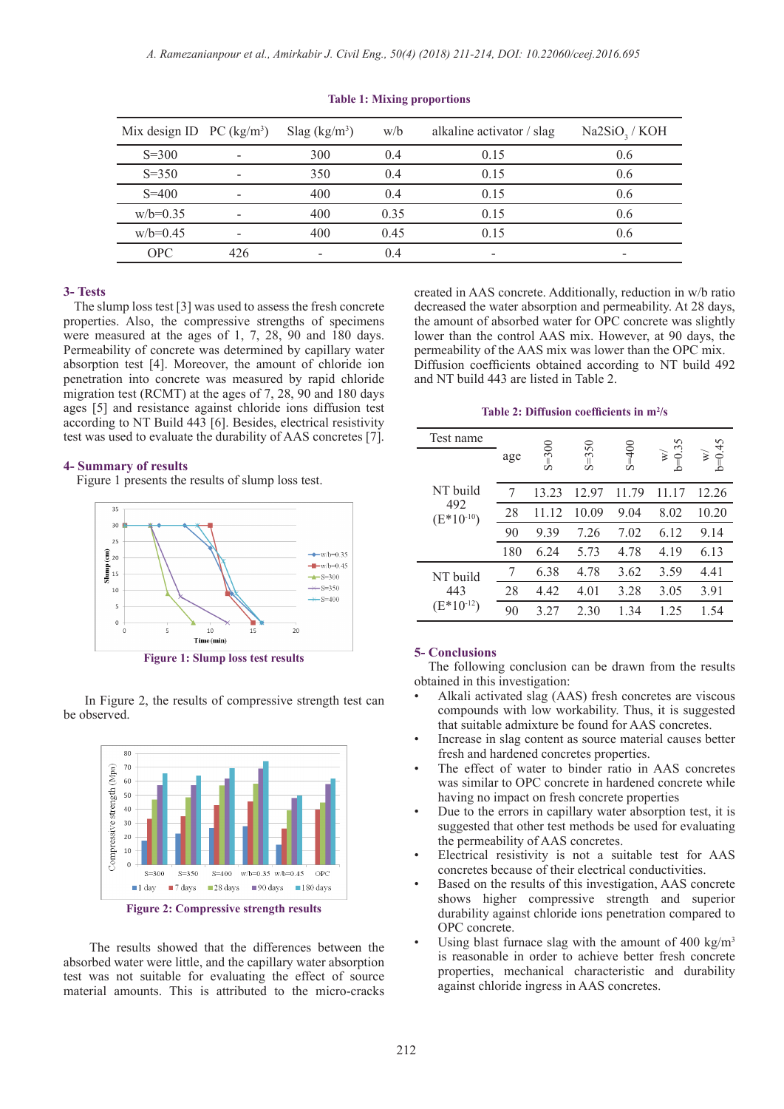| Mix design ID $PC (kg/m3)$ |     | Slag (kg/m <sup>3</sup> ) | w/b  | alkaline activator / slag | Na2SiO <sub>3</sub> / KOH |
|----------------------------|-----|---------------------------|------|---------------------------|---------------------------|
| $S = 300$                  |     | 300                       | 0.4  | 0.15                      | 0.6                       |
| $S = 350$                  |     | 350                       | 0.4  | 0.15                      | 0.6                       |
| $S = 400$                  |     | 400                       | 04   | 0.15                      | 0.6                       |
| $w/b=0.35$                 |     | 400                       | 0.35 | 0.15                      | 0.6                       |
| $w/b=0.45$                 |     | 400                       | 0.45 | 0.15                      | 0.6                       |
| OPC                        | 426 |                           | 0.4  |                           | -                         |

#### **Table 1: Mixing proportions**

## **3- Tests**

 The slump loss test [3] was used to assess the fresh concrete properties. Also, the compressive strengths of specimens were measured at the ages of 1, 7, 28, 90 and 180 days. Permeability of concrete was determined by capillary water absorption test [4]. Moreover, the amount of chloride ion penetration into concrete was measured by rapid chloride migration test (RCMT) at the ages of 7, 28, 90 and 180 days ages [5] and resistance against chloride ions diffusion test according to NT Build 443 [6]. Besides, electrical resistivity test was used to evaluate the durability of AAS concretes [7].

#### **4- Summary of results**

Figure 1 presents the results of slump loss test.



**Figure 1: Slump loss test results**

 In Figure 2, the results of compressive strength test can be observed.



**Figure 2: Compressive strength results**

 The results showed that the differences between the absorbed water were little, and the capillary water absorption test was not suitable for evaluating the effect of source material amounts. This is attributed to the micro-cracks

created in AAS concrete. Additionally, reduction in w/b ratio decreased the water absorption and permeability. At 28 days, the amount of absorbed water for OPC concrete was slightly lower than the control AAS mix. However, at 90 days, the permeability of the AAS mix was lower than the OPC mix. Diffusion coefficients obtained according to NT build 492 and NT build 443 are listed in Table 2.

#### **Table 2: Diffusion coefficients in m<sup>2</sup> /s**

| Test name             |     |           |           |         |                     | $\frac{45}{5}$ |
|-----------------------|-----|-----------|-----------|---------|---------------------|----------------|
|                       | age | $S = 300$ | $S = 350$ | $S=400$ | 0.35<br>š<br>Ш<br>≏ | š<br>$b=0$     |
| NT build              | 7   | 13.23     | 12.97     | 11.79   | 11.17               | 12.26          |
| 492<br>$(E*10^{-10})$ | 28  | 11.12     | 10.09     | 9.04    | 8.02                | 10.20          |
|                       | 90  | 9.39      | 7.26      | 7.02    | 6.12                | 9.14           |
|                       | 180 | 6.24      | 5.73      | 4.78    | 4.19                | 6.13           |
| NT build              | 7   | 6.38      | 4.78      | 3.62    | 3.59                | 4.41           |
| 443                   | 28  | 4.42      | 4.01      | 3.28    | 3.05                | 3.91           |
| $(E*10^{-12})$        | 90  | 3.27      | 2.30      | 1.34    | 1.25                | 1.54           |

#### **5- Conclusions**

 The following conclusion can be drawn from the results obtained in this investigation:

- Alkali activated slag (AAS) fresh concretes are viscous compounds with low workability. Thus, it is suggested that suitable admixture be found for AAS concretes.
- Increase in slag content as source material causes better fresh and hardened concretes properties.
- The effect of water to binder ratio in AAS concretes was similar to OPC concrete in hardened concrete while having no impact on fresh concrete properties
- Due to the errors in capillary water absorption test, it is suggested that other test methods be used for evaluating the permeability of AAS concretes.
- Electrical resistivity is not a suitable test for AAS concretes because of their electrical conductivities.
- Based on the results of this investigation, AAS concrete shows higher compressive strength and superior durability against chloride ions penetration compared to OPC concrete.
- Using blast furnace slag with the amount of 400 kg/m<sup>3</sup> is reasonable in order to achieve better fresh concrete properties, mechanical characteristic and durability against chloride ingress in AAS concretes.